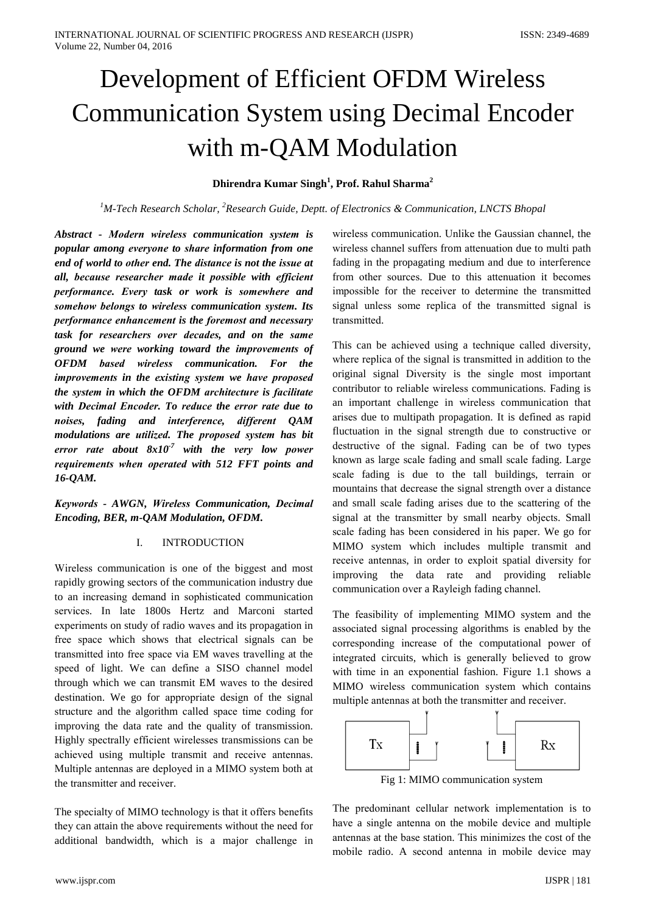# Development of Efficient OFDM Wireless **Communication System using Decimal Encoder** with m-QAM Modulation

## Dhirendra Kumar Singh<sup>1</sup>, Prof. Rahul Sharma<sup>2</sup>

# <sup>1</sup>M-Tech Research Scholar, <sup>2</sup>Research Guide, Deptt. of Electronics & Communication, LNCTS Bhopal

Abstract - Modern wireless communication system is popular among everyone to share information from one end of world to other end. The distance is not the issue at all, because researcher made it possible with efficient performance. Every task or work is somewhere and somehow belongs to wireless communication system. Its performance enhancement is the foremost and necessary task for researchers over decades, and on the same ground we were working toward the improvements of OFDM based wireless communication. For the improvements in the existing system we have proposed the system in which the OFDM architecture is facilitate with Decimal Encoder. To reduce the error rate due to noises, fading and interference, different OAM modulations are utilized. The proposed system has bit error rate about  $8x10^7$  with the very low power requirements when operated with 512 FFT points and 16-QAM.

# Keywords - AWGN, Wireless Communication, Decimal Encoding, BER, m-QAM Modulation, OFDM.

#### **INTRODUCTION**  $\mathbf{I}$

Wireless communication is one of the biggest and most rapidly growing sectors of the communication industry due to an increasing demand in sophisticated communication services. In late 1800s Hertz and Marconi started experiments on study of radio waves and its propagation in free space which shows that electrical signals can be transmitted into free space via EM waves travelling at the speed of light. We can define a SISO channel model through which we can transmit EM waves to the desired destination. We go for appropriate design of the signal structure and the algorithm called space time coding for improving the data rate and the quality of transmission. Highly spectrally efficient wirelesses transmissions can be achieved using multiple transmit and receive antennas. Multiple antennas are deployed in a MIMO system both at the transmitter and receiver.

The specialty of MIMO technology is that it offers benefits they can attain the above requirements without the need for additional bandwidth, which is a major challenge in

wireless communication. Unlike the Gaussian channel, the wireless channel suffers from attenuation due to multi path fading in the propagating medium and due to interference from other sources. Due to this attenuation it becomes impossible for the receiver to determine the transmitted signal unless some replica of the transmitted signal is transmitted.

This can be achieved using a technique called diversity, where replica of the signal is transmitted in addition to the original signal Diversity is the single most important contributor to reliable wireless communications. Fading is an important challenge in wireless communication that arises due to multipath propagation. It is defined as rapid fluctuation in the signal strength due to constructive or destructive of the signal. Fading can be of two types known as large scale fading and small scale fading. Large scale fading is due to the tall buildings, terrain or mountains that decrease the signal strength over a distance and small scale fading arises due to the scattering of the signal at the transmitter by small nearby objects. Small scale fading has been considered in his paper. We go for MIMO system which includes multiple transmit and receive antennas, in order to exploit spatial diversity for improving the data rate and providing reliable communication over a Rayleigh fading channel.

The feasibility of implementing MIMO system and the associated signal processing algorithms is enabled by the corresponding increase of the computational power of integrated circuits, which is generally believed to grow with time in an exponential fashion. Figure 1.1 shows a MIMO wireless communication system which contains multiple antennas at both the transmitter and receiver.



Fig 1: MIMO communication system

The predominant cellular network implementation is to have a single antenna on the mobile device and multiple antennas at the base station. This minimizes the cost of the mobile radio. A second antenna in mobile device may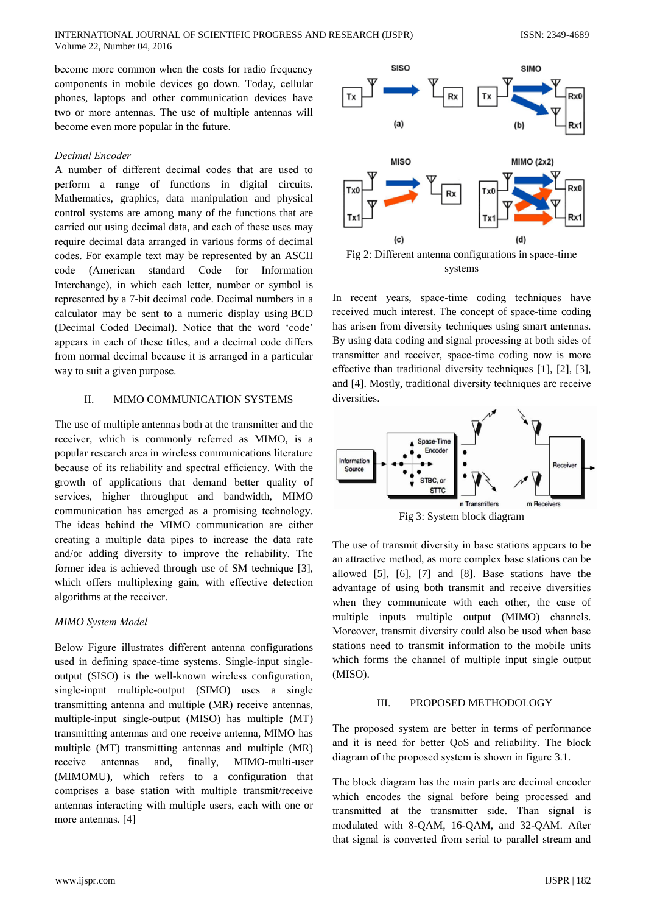become more common when the costs for radio frequency components in mobile devices go down. Today, cellular phones, laptops and other communication devices have two or more antennas. The use of multiple antennas will become even more popular in the future.

INTERNATIONAL JOURNAL OF SCIENTIFIC PROGRESS AND RESEARCH (IJSPR)

## Decimal Encoder

Volume 22, Number 04, 2016

A number of different decimal codes that are used to perform a range of functions in digital circuits. Mathematics, graphics, data manipulation and physical control systems are among many of the functions that are carried out using decimal data, and each of these uses may require decimal data arranged in various forms of decimal codes. For example text may be represented by an ASCII code (American standard Code for Information Interchange), in which each letter, number or symbol is represented by a 7-bit decimal code. Decimal numbers in a calculator may be sent to a numeric display using BCD (Decimal Coded Decimal). Notice that the word 'code' appears in each of these titles, and a decimal code differs from normal decimal because it is arranged in a particular way to suit a given purpose.

#### $\Pi$ . MIMO COMMUNICATION SYSTEMS

The use of multiple antennas both at the transmitter and the receiver, which is commonly referred as MIMO, is a popular research area in wireless communications literature because of its reliability and spectral efficiency. With the growth of applications that demand better quality of services, higher throughput and bandwidth, MIMO communication has emerged as a promising technology. The ideas behind the MIMO communication are either creating a multiple data pipes to increase the data rate and/or adding diversity to improve the reliability. The former idea is achieved through use of SM technique [3], which offers multiplexing gain, with effective detection algorithms at the receiver.

## **MIMO** System Model

Below Figure illustrates different antenna configurations used in defining space-time systems. Single-input singleoutput (SISO) is the well-known wireless configuration, single-input multiple-output (SIMO) uses a single transmitting antenna and multiple (MR) receive antennas, multiple-input single-output (MISO) has multiple (MT) transmitting antennas and one receive antenna, MIMO has multiple (MT) transmitting antennas and multiple (MR) receive antennas and. finally, MIMO-multi-user (MIMOMU), which refers to a configuration that comprises a base station with multiple transmit/receive antennas interacting with multiple users, each with one or more antennas. [4]



systems

In recent years, space-time coding techniques have received much interest. The concept of space-time coding has arisen from diversity techniques using smart antennas. By using data coding and signal processing at both sides of transmitter and receiver, space-time coding now is more effective than traditional diversity techniques [1], [2], [3], and [4]. Mostly, traditional diversity techniques are receive diversities.



Fig 3: System block diagram

The use of transmit diversity in base stations appears to be an attractive method, as more complex base stations can be allowed  $[5]$ ,  $[6]$ ,  $[7]$  and  $[8]$ . Base stations have the advantage of using both transmit and receive diversities when they communicate with each other, the case of multiple inputs multiple output (MIMO) channels. Moreover, transmit diversity could also be used when base stations need to transmit information to the mobile units which forms the channel of multiple input single output (MISO).

#### $III.$ PROPOSED METHODOLOGY

The proposed system are better in terms of performance and it is need for better OoS and reliability. The block diagram of the proposed system is shown in figure 3.1.

The block diagram has the main parts are decimal encoder which encodes the signal before being processed and transmitted at the transmitter side. Than signal is modulated with 8-QAM, 16-QAM, and 32-QAM. After that signal is converted from serial to parallel stream and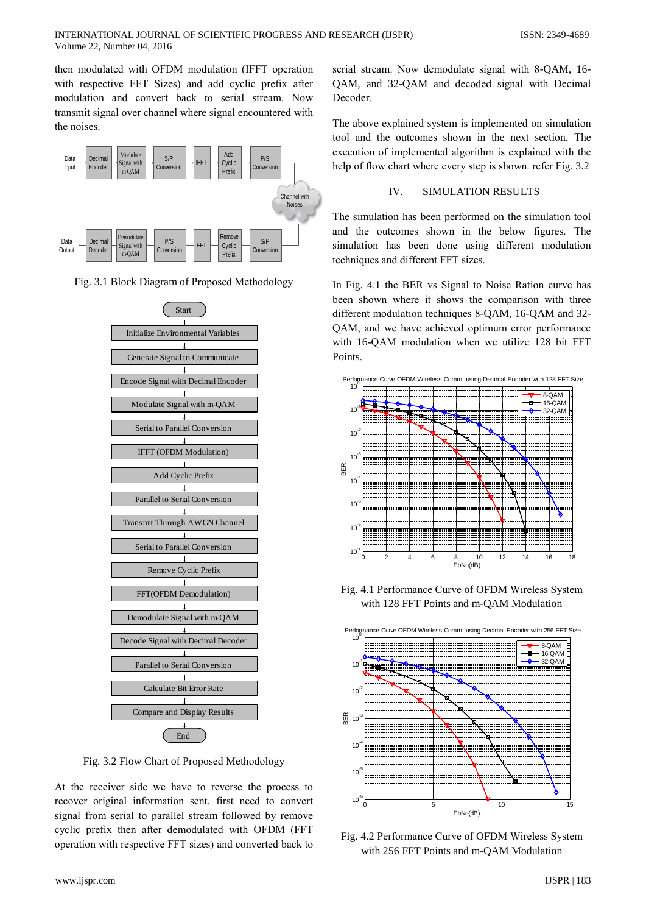then modulated with OFDM modulation (IFFT operation with respective FFT Sizes) and add cyclic prefix after modulation and convert back to serial stream. Now transmit signal over channel where signal encountered with the noises.



Fig. 3.1 Block Diagram of Proposed Methodology



Fig. 3.2 Flow Chart of Proposed Methodology

At the receiver side we have to reverse the process to recover original information sent. first need to convert signal from serial to parallel stream followed by remove cyclic prefix then after demodulated with OFDM (FFT operation with respective FFT sizes) and converted back to serial stream. Now demodulate signal with 8-QAM, 16-QAM, and 32-QAM and decoded signal with Decimal Decoder.

The above explained system is implemented on simulation tool and the outcomes shown in the next section. The execution of implemented algorithm is explained with the help of flow chart where every step is shown. refer Fig. 3.2

#### IV. **SIMULATION RESULTS**

The simulation has been performed on the simulation tool and the outcomes shown in the below figures. The simulation has been done using different modulation techniques and different FFT sizes.

In Fig. 4.1 the BER vs Signal to Noise Ration curve has been shown where it shows the comparison with three different modulation techniques 8-OAM, 16-OAM and 32-OAM, and we have achieved optimum error performance with 16-QAM modulation when we utilize 128 bit FFT Points.



Fig. 4.1 Performance Curve of OFDM Wireless System with 128 FFT Points and m-QAM Modulation



Fig. 4.2 Performance Curve of OFDM Wireless System with 256 FFT Points and m-QAM Modulation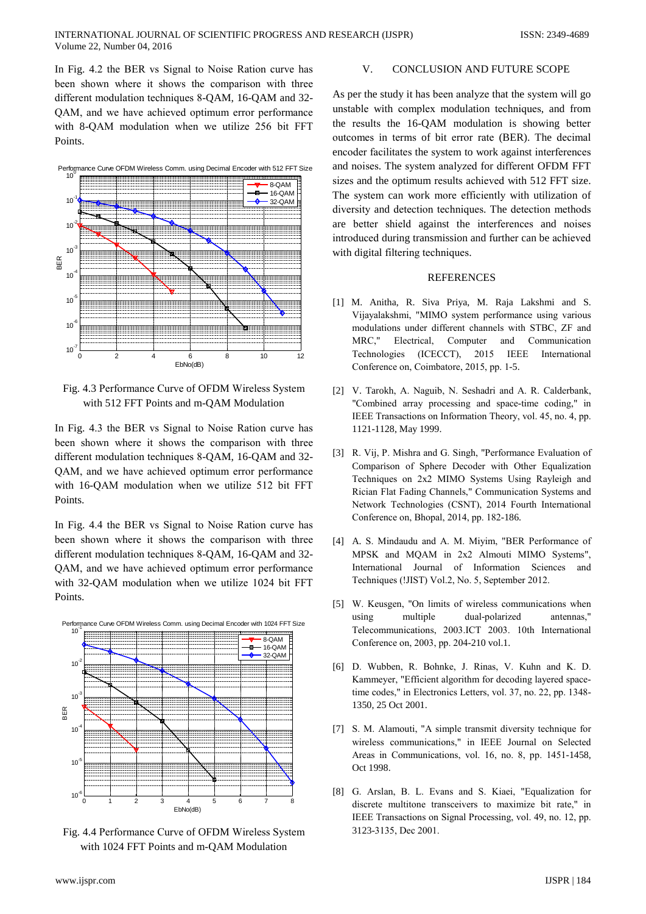In Fig. 4.2 the BER vs Signal to Noise Ration curve has been shown where it shows the comparison with three different modulation techniques 8-QAM, 16-QAM and 32-QAM, and we have achieved optimum error performance with 8-OAM modulation when we utilize 256 bit FFT Points



Fig. 4.3 Performance Curve of OFDM Wireless System with 512 FFT Points and m-QAM Modulation

In Fig. 4.3 the BER vs Signal to Noise Ration curve has been shown where it shows the comparison with three different modulation techniques 8-QAM, 16-QAM and 32-QAM, and we have achieved optimum error performance with 16-QAM modulation when we utilize 512 bit FFT Points.

In Fig. 4.4 the BER vs Signal to Noise Ration curve has been shown where it shows the comparison with three different modulation techniques 8-OAM, 16-OAM and 32-OAM, and we have achieved optimum error performance with 32-OAM modulation when we utilize 1024 bit FFT Points.



Fig. 4.4 Performance Curve of OFDM Wireless System with 1024 FFT Points and m-OAM Modulation

#### V. **CONCLUSION AND FUTURE SCOPE**

As per the study it has been analyze that the system will go unstable with complex modulation techniques, and from the results the 16-QAM modulation is showing better outcomes in terms of bit error rate (BER). The decimal encoder facilitates the system to work against interferences and noises. The system analyzed for different OFDM FFT sizes and the optimum results achieved with 512 FFT size. The system can work more efficiently with utilization of diversity and detection techniques. The detection methods are better shield against the interferences and noises introduced during transmission and further can be achieved with digital filtering techniques.

## **REFERENCES**

- [1] M. Anitha, R. Siva Priya, M. Raja Lakshmi and S. Vijayalakshmi, "MIMO system performance using various modulations under different channels with STBC, ZF and MRC." Electrical. Computer and Communication Technologies (ICECCT), 2015 **IEEE** International Conference on, Coimbatore, 2015, pp. 1-5.
- [2] V. Tarokh, A. Naguib, N. Seshadri and A. R. Calderbank, "Combined array processing and space-time coding," in IEEE Transactions on Information Theory, vol. 45, no. 4, pp. 1121-1128, May 1999.
- [3] R. Vij, P. Mishra and G. Singh, "Performance Evaluation of Comparison of Sphere Decoder with Other Equalization Techniques on 2x2 MIMO Systems Using Rayleigh and Rician Flat Fading Channels," Communication Systems and Network Technologies (CSNT), 2014 Fourth International Conference on, Bhopal, 2014, pp. 182-186.
- [4] A. S. Mindaudu and A. M. Miyim, "BER Performance of MPSK and MOAM in 2x2 Almouti MIMO Systems". International Journal of Information Sciences and Techniques (!JIST) Vol.2, No. 5, September 2012.
- [5] W. Keusgen, "On limits of wireless communications when using multiple dual-polarized antennas " Telecommunications, 2003.ICT 2003. 10th International Conference on, 2003, pp. 204-210 vol.1.
- [6] D. Wubben, R. Bohnke, J. Rinas, V. Kuhn and K. D. Kammeyer, "Efficient algorithm for decoding layered spacetime codes," in Electronics Letters, vol. 37, no. 22, pp. 1348-1350, 25 Oct 2001.
- [7] S. M. Alamouti, "A simple transmit diversity technique for wireless communications," in IEEE Journal on Selected Areas in Communications, vol. 16, no. 8, pp. 1451-1458, Oct 1998.
- [8] G. Arslan, B. L. Evans and S. Kiaei, "Equalization for discrete multitone transceivers to maximize bit rate." in IEEE Transactions on Signal Processing, vol. 49, no. 12, pp. 3123-3135, Dec 2001.